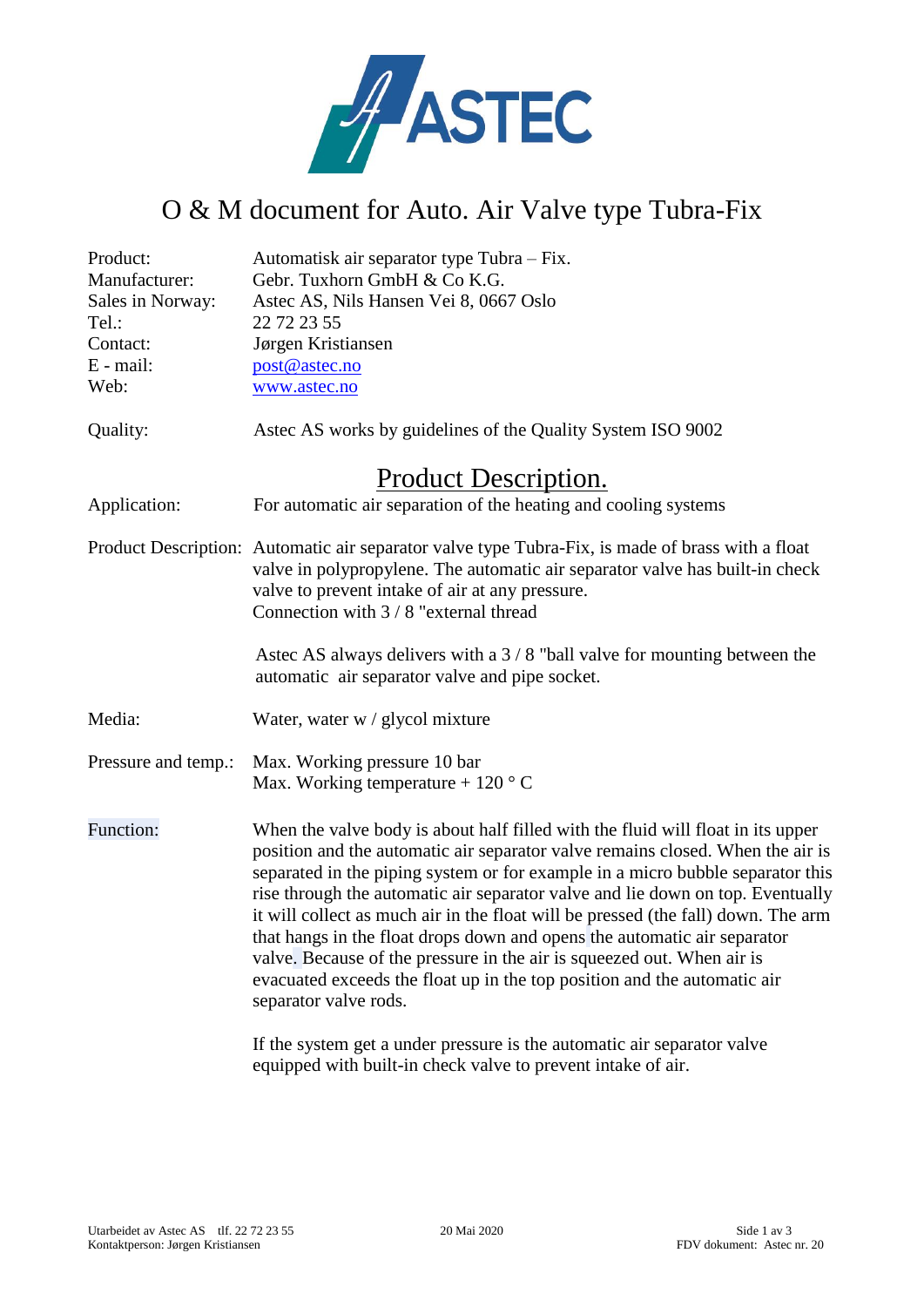

## O & M document for Auto. Air Valve type Tubra-Fix

| Product:             | Automatisk air separator type Tubra – Fix.                                                                                                                                                                                                                                                                                                                                                                                                                                                                                                                                                                                                                                            |
|----------------------|---------------------------------------------------------------------------------------------------------------------------------------------------------------------------------------------------------------------------------------------------------------------------------------------------------------------------------------------------------------------------------------------------------------------------------------------------------------------------------------------------------------------------------------------------------------------------------------------------------------------------------------------------------------------------------------|
| Manufacturer:        | Gebr. Tuxhorn GmbH & Co K.G.                                                                                                                                                                                                                                                                                                                                                                                                                                                                                                                                                                                                                                                          |
| Sales in Norway:     | Astec AS, Nils Hansen Vei 8, 0667 Oslo                                                                                                                                                                                                                                                                                                                                                                                                                                                                                                                                                                                                                                                |
| Tel.:                | 22 72 23 55                                                                                                                                                                                                                                                                                                                                                                                                                                                                                                                                                                                                                                                                           |
| Contact:             | Jørgen Kristiansen                                                                                                                                                                                                                                                                                                                                                                                                                                                                                                                                                                                                                                                                    |
| $E$ - mail:          | post@astec.no                                                                                                                                                                                                                                                                                                                                                                                                                                                                                                                                                                                                                                                                         |
| Web:                 | www.astec.no                                                                                                                                                                                                                                                                                                                                                                                                                                                                                                                                                                                                                                                                          |
| Quality:             | Astec AS works by guidelines of the Quality System ISO 9002                                                                                                                                                                                                                                                                                                                                                                                                                                                                                                                                                                                                                           |
| Product Description. |                                                                                                                                                                                                                                                                                                                                                                                                                                                                                                                                                                                                                                                                                       |
| Application:         | For automatic air separation of the heating and cooling systems                                                                                                                                                                                                                                                                                                                                                                                                                                                                                                                                                                                                                       |
|                      | Product Description: Automatic air separator valve type Tubra-Fix, is made of brass with a float<br>valve in polypropylene. The automatic air separator valve has built-in check<br>valve to prevent intake of air at any pressure.<br>Connection with 3 / 8 "external thread                                                                                                                                                                                                                                                                                                                                                                                                         |
|                      | Astec AS always delivers with a $3/8$ "ball valve for mounting between the<br>automatic air separator valve and pipe socket.                                                                                                                                                                                                                                                                                                                                                                                                                                                                                                                                                          |
| Media:               | Water, water w / glycol mixture                                                                                                                                                                                                                                                                                                                                                                                                                                                                                                                                                                                                                                                       |
| Pressure and temp.:  | Max. Working pressure 10 bar<br>Max. Working temperature + 120 $\degree$ C                                                                                                                                                                                                                                                                                                                                                                                                                                                                                                                                                                                                            |
| Function:            | When the valve body is about half filled with the fluid will float in its upper<br>position and the automatic air separator valve remains closed. When the air is<br>separated in the piping system or for example in a micro bubble separator this<br>rise through the automatic air separator valve and lie down on top. Eventually<br>it will collect as much air in the float will be pressed (the fall) down. The arm<br>that hangs in the float drops down and opens the automatic air separator<br>valve. Because of the pressure in the air is squeezed out. When air is<br>evacuated exceeds the float up in the top position and the automatic air<br>separator valve rods. |
|                      | <b>TC</b> the contract of the condition correspond to the contract of the contract construction                                                                                                                                                                                                                                                                                                                                                                                                                                                                                                                                                                                       |

If the system get a under pressure is the automatic air separator valve equipped with built-in check valve to prevent intake of air.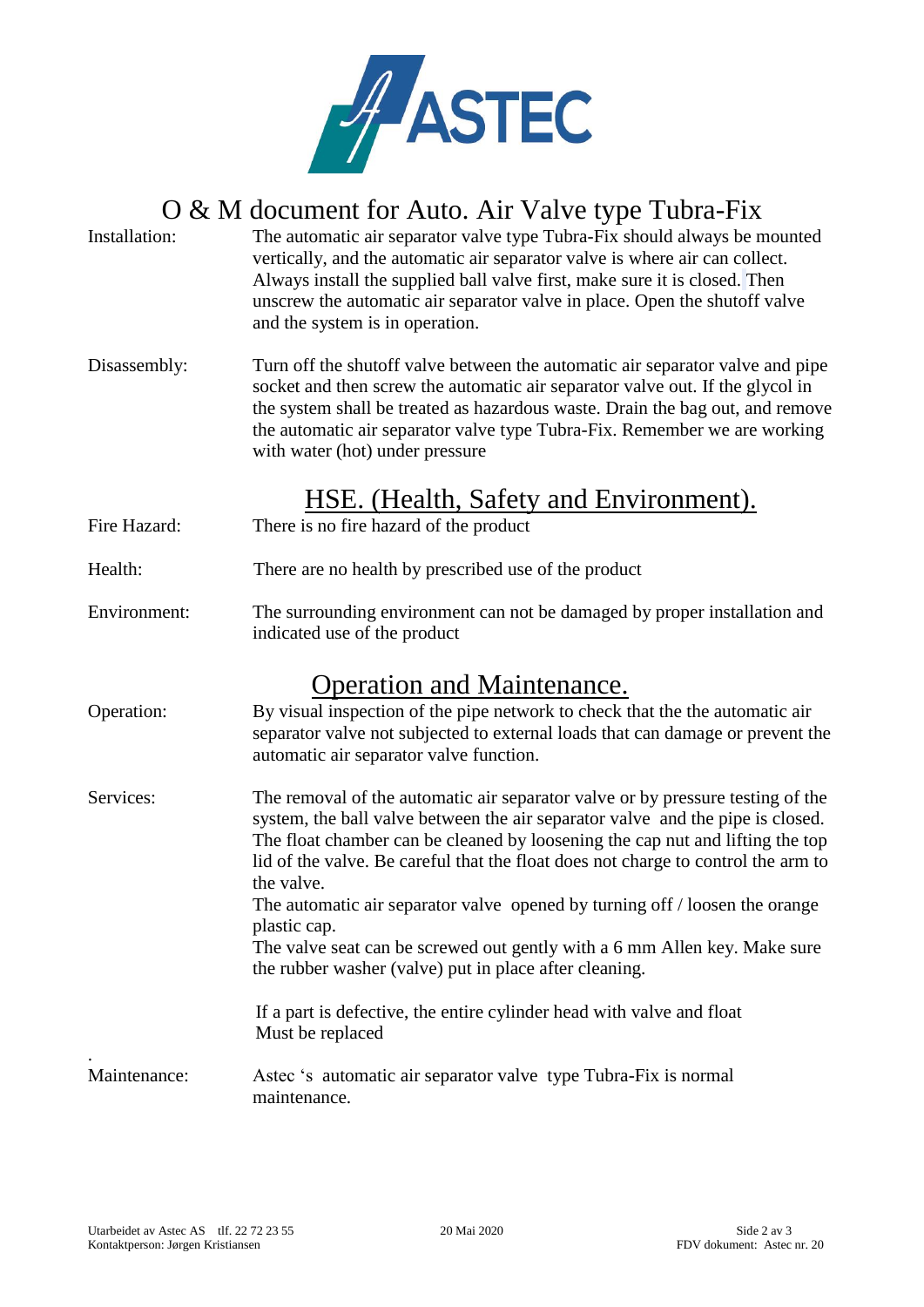

# O & M document for Auto. Air Valve type Tubra-Fix

- Installation: The automatic air separator valve type Tubra-Fix should always be mounted vertically, and the automatic air separator valve is where air can collect. Always install the supplied ball valve first, make sure it is closed. Then unscrew the automatic air separator valve in place. Open the shutoff valve and the system is in operation.
- Disassembly: Turn off the shutoff valve between the automatic air separator valve and pipe socket and then screw the automatic air separator valve out. If the glycol in the system shall be treated as hazardous waste. Drain the bag out, and remove the automatic air separator valve type Tubra-Fix. Remember we are working with water (hot) under pressure

#### HSE. (Health, Safety and Environment).

- Fire Hazard: There is no fire hazard of the product
- Health: There are no health by prescribed use of the product
- Environment: The surrounding environment can not be damaged by proper installation and indicated use of the product

#### Operation and Maintenance.

- Operation: By visual inspection of the pipe network to check that the the automatic air separator valve not subjected to external loads that can damage or prevent the automatic air separator valve function.
- Services: The removal of the automatic air separator valve or by pressure testing of the system, the ball valve between the air separator valve and the pipe is closed. The float chamber can be cleaned by loosening the cap nut and lifting the top lid of the valve. Be careful that the float does not charge to control the arm to the valve. The automatic air separator valve opened by turning off / loosen the orange plastic cap.

The valve seat can be screwed out gently with a 6 mm Allen key. Make sure the rubber washer (valve) put in place after cleaning.

 If a part is defective, the entire cylinder head with valve and float Must be replaced

Maintenance: Astec 's automatic air separator valve type Tubra-Fix is normal maintenance.

.